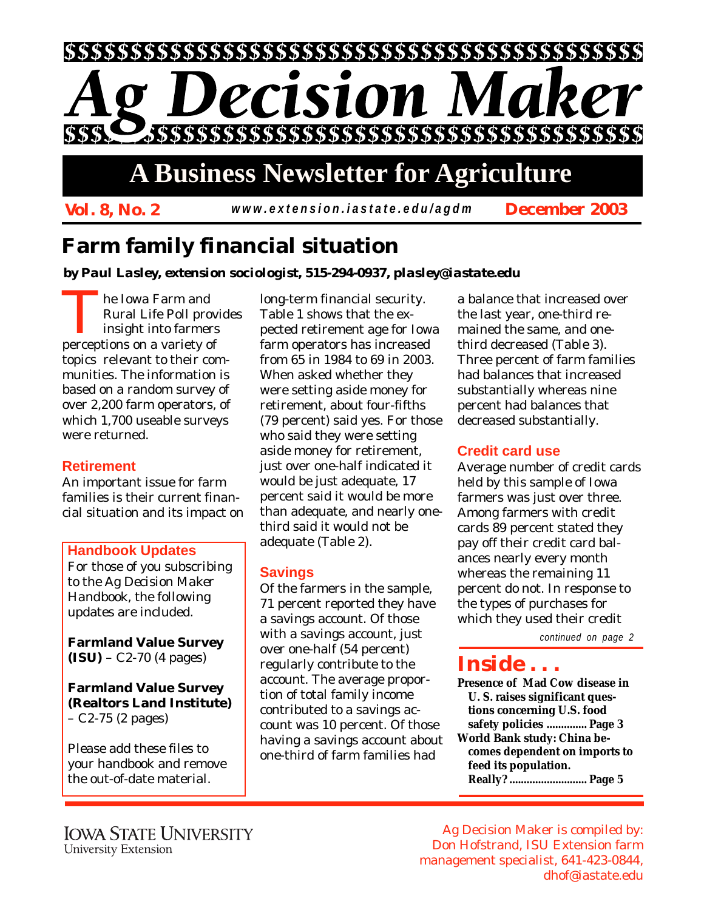

# **A Business Newsletter for Agriculture**

*Vol. 8, No. 2 December 2003 www.extension.iastate.edu/agdm*

# **Farm family financial situation**

*by Paul Lasley, extension sociologist, 515-294-0937, plasley@iastate.edu*

The Iowa Farm and<br>Rural Life Poll pro<br>insight into farmer Rural Life Poll provides insight into farmers perceptions on a variety of topics relevant to their communities. The information is based on a random survey of over 2,200 farm operators, of which 1,700 useable surveys were returned.

# **Retirement**

An important issue for farm families is their current financial situation and its impact on

### **Handbook Updates**

For those of you subscribing to the *Ag Decision Maker Handbook*, the following updates are included.

**Farmland Value Survey (ISU)** – C2-70 (4 pages)

**Farmland Value Survey (Realtors Land Institute)** – C2-75 (2 pages)

Please add these files to your handbook and remove the out-of-date material.

long-term financial security. Table 1 shows that the expected retirement age for Iowa farm operators has increased from 65 in 1984 to 69 in 2003. When asked whether they were setting aside money for retirement, about four-fifths (79 percent) said yes. For those who said they were setting aside money for retirement, just over one-half indicated it would be just adequate, 17 percent said it would be more than adequate, and nearly onethird said it would not be adequate (Table 2).

# **Savings**

Of the farmers in the sample, 71 percent reported they have a savings account. Of those with a savings account, just over one-half (54 percent) regularly contribute to the account. The average proportion of total family income contributed to a savings account was 10 percent. Of those having a savings account about one-third of farm families had

a balance that increased over the last year, one-third remained the same, and onethird decreased (Table 3). Three percent of farm families had balances that increased substantially whereas nine percent had balances that decreased substantially.

# **Credit card use**

Average number of credit cards held by this sample of Iowa farmers was just over three. Among farmers with credit cards 89 percent stated they pay off their credit card balances nearly every month whereas the remaining 11 percent do not. In response to the types of purchases for which they used their credit

*continued on page 2*

# *Inside . . .*

**Presence of Mad Cow disease in U. S. raises significant questions concerning U.S. food safety policies .............. Page 3 World Bank study: China becomes dependent on imports to feed its population. Really? ........................... Page 5**

Ag Decision Maker is compiled by: Don Hofstrand, ISU Extension farm management specialist, 641-423-0844, dhof@iastate.edu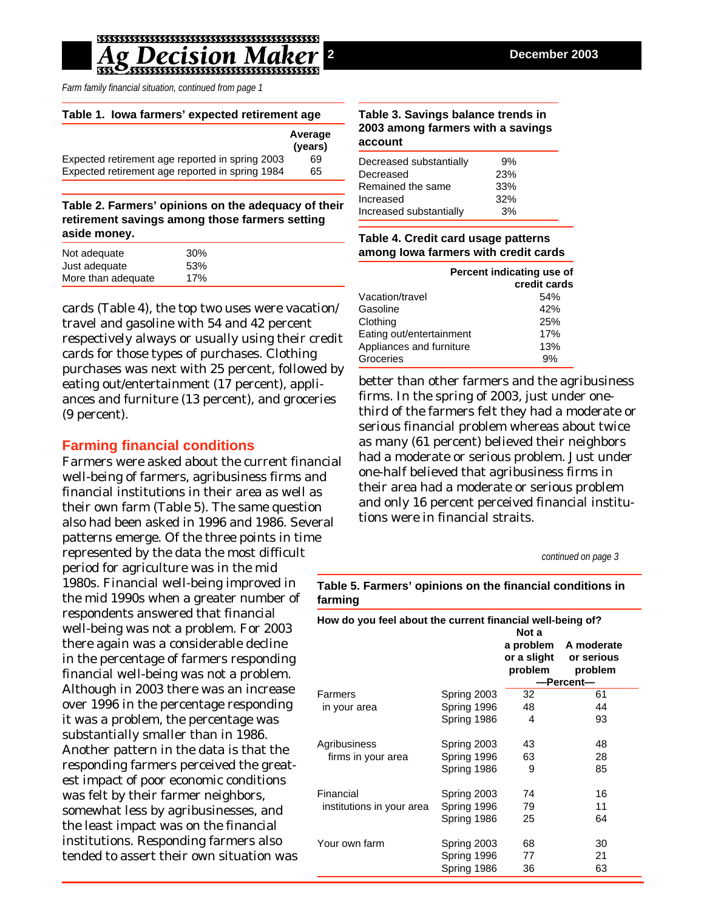*Farm family financial situation, continued from page 1*

#### **Table 1. Iowa farmers' expected retirement age**

|                                                 | Average<br>(years) |
|-------------------------------------------------|--------------------|
| Expected retirement age reported in spring 2003 | 69                 |
| Expected retirement age reported in spring 1984 | 65                 |

**Table 2. Farmers' opinions on the adequacy of their retirement savings among those farmers setting aside money.**

| Not adequate       | 30 <sup>%</sup> |
|--------------------|-----------------|
| Just adequate      | 53%             |
| More than adequate | 17%             |

cards (Table 4), the top two uses were vacation/ travel and gasoline with 54 and 42 percent respectively always or usually using their credit cards for those types of purchases. Clothing purchases was next with 25 percent, followed by eating out/entertainment (17 percent), appliances and furniture (13 percent), and groceries (9 percent).

### **Farming financial conditions**

Farmers were asked about the current financial well-being of farmers, agribusiness firms and financial institutions in their area as well as their own farm (Table 5). The same question also had been asked in 1996 and 1986. Several patterns emerge. Of the three points in time represented by the data the most difficult period for agriculture was in the mid 1980s. Financial well-being improved in the mid 1990s when a greater number of respondents answered that financial well-being was not a problem. For 2003 there again was a considerable decline in the percentage of farmers responding financial well-being was not a problem. Although in 2003 there was an increase over 1996 in the percentage responding it was a problem, the percentage was substantially smaller than in 1986. Another pattern in the data is that the responding farmers perceived the greatest impact of poor economic conditions was felt by their farmer neighbors, somewhat less by agribusinesses, and the least impact was on the financial institutions. Responding farmers also tended to assert their own situation was

#### **Table 3. Savings balance trends in 2003 among farmers with a savings account**

| Decreased substantially | 9%  |
|-------------------------|-----|
| Decreased               | 23% |
| Remained the same       | 33% |
| Increased               | 32% |
| Increased substantially | 3%  |

### **Table 4. Credit card usage patterns among Iowa farmers with credit cards**

|                          | Percent indicating use of<br>credit cards |
|--------------------------|-------------------------------------------|
| Vacation/travel          | 54%                                       |
| Gasoline                 | 42%                                       |
| Clothing                 | 25%                                       |
| Eating out/entertainment | 17%                                       |
| Appliances and furniture | 13%                                       |
| Groceries                | 9%                                        |
|                          |                                           |

better than other farmers and the agribusiness firms. In the spring of 2003, just under onethird of the farmers felt they had a moderate or serious financial problem whereas about twice as many (61 percent) believed their neighbors had a moderate or serious problem. Just under one-half believed that agribusiness firms in their area had a moderate or serious problem and only 16 percent perceived financial institutions were in financial straits.

*continued on page 3*

**Table 5. Farmers' opinions on the financial conditions in farming**

| How do you feel about the current financial well-being of?<br>Not a |             |                        |                                               |  |
|---------------------------------------------------------------------|-------------|------------------------|-----------------------------------------------|--|
|                                                                     |             | or a slight<br>problem | a problem A moderate<br>or serious<br>problem |  |
|                                                                     |             | —Percent—              |                                               |  |
| Farmers<br>in your area                                             | Spring 2003 | 32                     | 61                                            |  |
|                                                                     | Spring 1996 | 48                     | 44                                            |  |
|                                                                     | Spring 1986 | 4                      | 93                                            |  |
| Agribusiness                                                        | Spring 2003 | 43                     | 48                                            |  |
| firms in your area                                                  | Spring 1996 | 63                     | 28                                            |  |
|                                                                     | Spring 1986 | 9                      | 85                                            |  |
| Financial<br>institutions in your area                              | Spring 2003 | 74                     | 16                                            |  |
|                                                                     | Spring 1996 | 79                     | 11                                            |  |
|                                                                     | Spring 1986 | 25                     | 64                                            |  |
| Your own farm                                                       | Spring 2003 | 68                     | 30                                            |  |
|                                                                     | Spring 1996 | 77                     | 21                                            |  |
|                                                                     | Spring 1986 | 36                     | 63                                            |  |